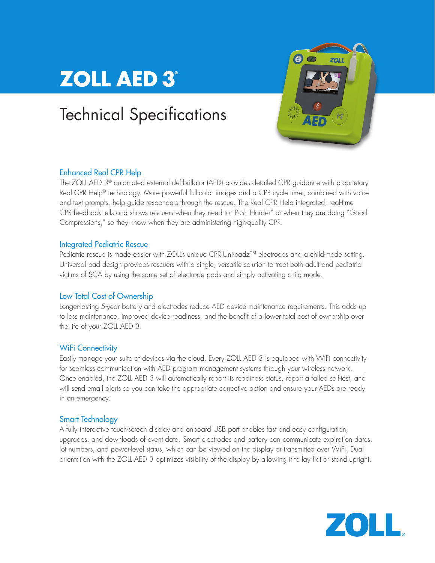# **ZOLL AED 3°**

## Technical Specifications



## Enhanced Real CPR Help

The ZOLL AED 3<sup>®</sup> automated external defibrillator (AED) provides detailed CPR guidance with proprietary Real CPR Help® technology. More powerful full-color images and a CPR cycle timer, combined with voice and text prompts, help guide responders through the rescue. The Real CPR Help integrated, real-time CPR feedback tells and shows rescuers when they need to "Push Harder" or when they are doing "Good Compressions," so they know when they are administering high-quality CPR.

## Integrated Pediatric Rescue

Pediatric rescue is made easier with ZOLL's unique CPR Uni-padz™ electrodes and a child-mode setting. Universal pad design provides rescuers with a single, versatile solution to treat both adult and pediatric victims of SCA by using the same set of electrode pads and simply activating child mode.

## Low Total Cost of Ownership

Longer-lasting 5-year battery and electrodes reduce AED device maintenance requirements. This adds up to less maintenance, improved device readiness, and the benefit of a lower total cost of ownership over the life of your ZOLL AED 3.

## **WiFi Connectivity**

Easily manage your suite of devices via the cloud. Every ZOLL AED 3 is equipped with WiFi connectivity for seamless communication with AED program management systems through your wireless network. Once enabled, the ZOLL AED 3 will automatically report its readiness status, report a failed self-test, and will send email alerts so you can take the appropriate corrective action and ensure your AEDs are ready in an emergency.

## Smart Technology

A fully interactive touch-screen display and onboard USB port enables fast and easy configuration, upgrades, and downloads of event data. Smart electrodes and battery can communicate expiration dates, lot numbers, and power-level status, which can be viewed on the display or transmitted over WiFi. Dual orientation with the ZOLL AED 3 optimizes visibility of the display by allowing it to lay flat or stand upright.